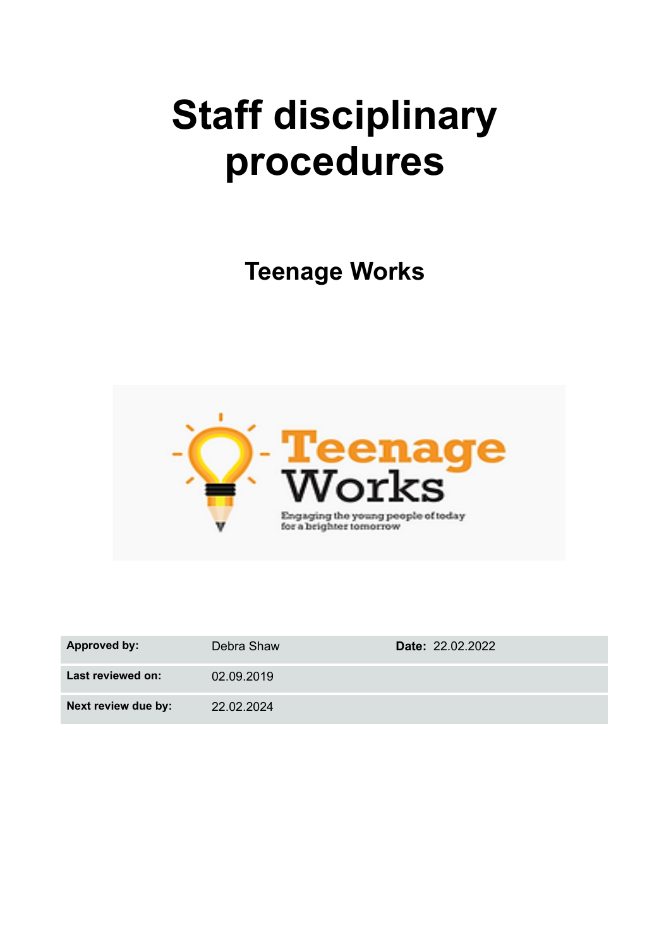# **Staff disciplinary procedures**

**Teenage Works**



| <b>Approved by:</b> | Debra Shaw | <b>Date: 22.02.2022</b> |
|---------------------|------------|-------------------------|
| Last reviewed on:   | 02.09.2019 |                         |
| Next review due by: | 22.02.2024 |                         |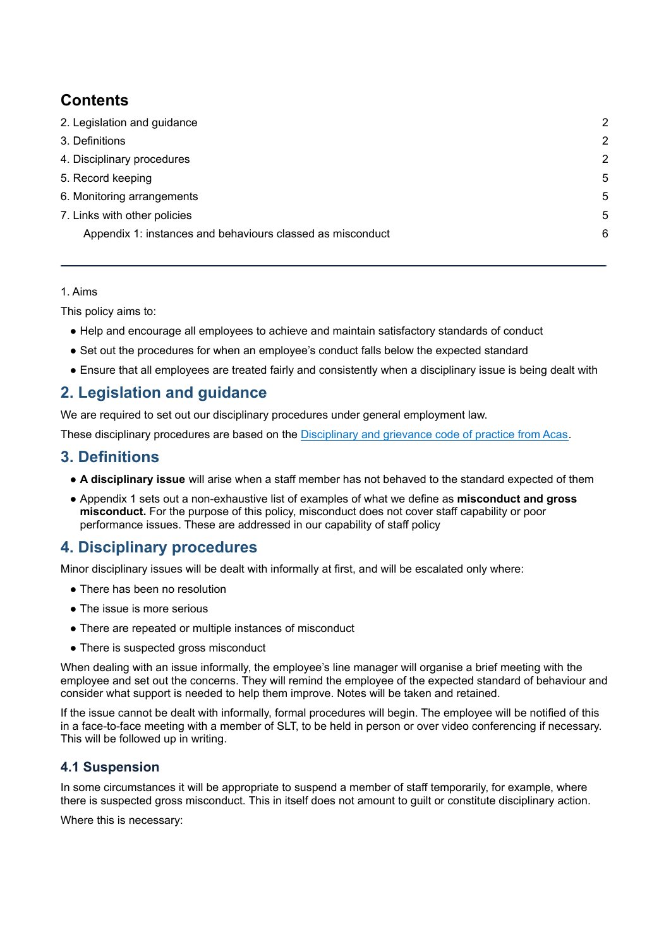## **Contents**

| 2. Legislation and guidance                                | $\mathcal{P}$ |
|------------------------------------------------------------|---------------|
| 3. Definitions                                             | 2             |
| 4. Disciplinary procedures                                 | 2             |
| 5. Record keeping                                          | 5             |
| 6. Monitoring arrangements                                 | 5             |
| 7. Links with other policies                               | 5             |
| Appendix 1: instances and behaviours classed as misconduct | 6             |
|                                                            |               |

#### 1. Aims

This policy aims to:

- Help and encourage all employees to achieve and maintain satisfactory standards of conduct
- Set out the procedures for when an employee's conduct falls below the expected standard
- Ensure that all employees are treated fairly and consistently when a disciplinary issue is being dealt with

## **2. Legislation and guidance**

We are required to set out our disciplinary procedures under general employment law.

These disciplinary procedures are based on the [Disciplinary](http://www.acas.org.uk/media/pdf/f/m/Acas-Code-of-Practice-1-on-disciplinary-and-grievance-procedures.pdf) and grievance code of practice from Acas.

## **3. Definitions**

- **A disciplinary issue** will arise when a staff member has not behaved to the standard expected of them
- Appendix 1 sets out a non-exhaustive list of examples of what we define as **misconduct and gross misconduct.** For the purpose of this policy, misconduct does not cover staff capability or poor performance issues. These are addressed in our capability of staff policy

## **4. Disciplinary procedures**

Minor disciplinary issues will be dealt with informally at first, and will be escalated only where:

- There has been no resolution
- The issue is more serious
- There are repeated or multiple instances of misconduct
- There is suspected gross misconduct

When dealing with an issue informally, the employee's line manager will organise a brief meeting with the employee and set out the concerns. They will remind the employee of the expected standard of behaviour and consider what support is needed to help them improve. Notes will be taken and retained.

If the issue cannot be dealt with informally, formal procedures will begin. The employee will be notified of this in a face-to-face meeting with a member of SLT, to be held in person or over video conferencing if necessary. This will be followed up in writing.

## **4.1 Suspension**

In some circumstances it will be appropriate to suspend a member of staff temporarily, for example, where there is suspected gross misconduct. This in itself does not amount to guilt or constitute disciplinary action.

Where this is necessary: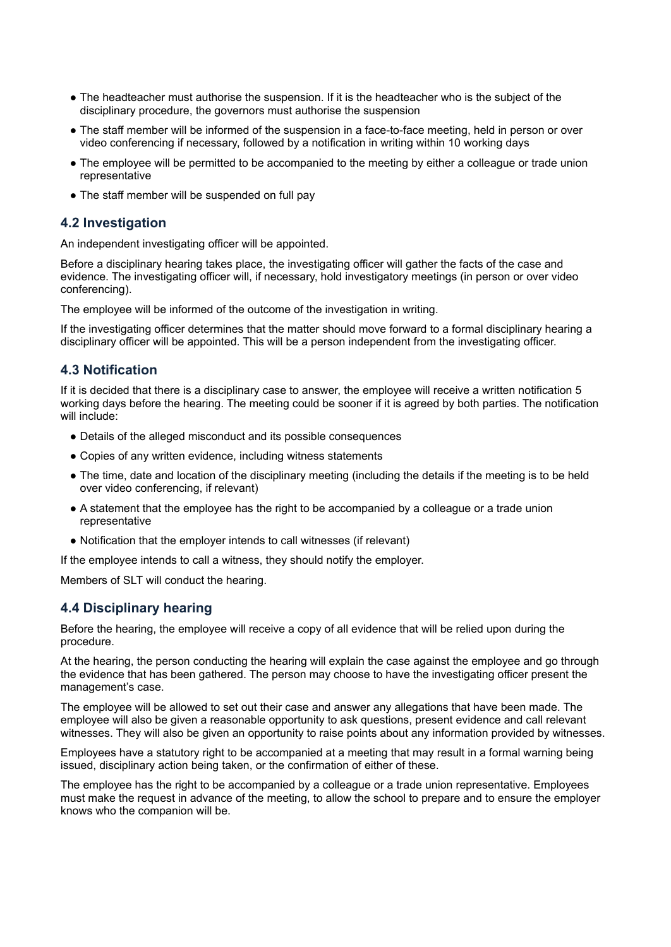- The headteacher must authorise the suspension. If it is the headteacher who is the subject of the disciplinary procedure, the governors must authorise the suspension
- The staff member will be informed of the suspension in a face-to-face meeting, held in person or over video conferencing if necessary, followed by a notification in writing within 10 working days
- The employee will be permitted to be accompanied to the meeting by either a colleague or trade union representative
- The staff member will be suspended on full pay

#### **4.2 Investigation**

An independent investigating officer will be appointed.

Before a disciplinary hearing takes place, the investigating officer will gather the facts of the case and evidence. The investigating officer will, if necessary, hold investigatory meetings (in person or over video conferencing).

The employee will be informed of the outcome of the investigation in writing.

If the investigating officer determines that the matter should move forward to a formal disciplinary hearing a disciplinary officer will be appointed. This will be a person independent from the investigating officer.

#### **4.3 Notification**

If it is decided that there is a disciplinary case to answer, the employee will receive a written notification 5 working days before the hearing. The meeting could be sooner if it is agreed by both parties. The notification will include:

- Details of the alleged misconduct and its possible consequences
- Copies of any written evidence, including witness statements
- The time, date and location of the disciplinary meeting (including the details if the meeting is to be held over video conferencing, if relevant)
- A statement that the employee has the right to be accompanied by a colleague or a trade union representative
- Notification that the employer intends to call witnesses (if relevant)

If the employee intends to call a witness, they should notify the employer.

Members of SLT will conduct the hearing.

#### **4.4 Disciplinary hearing**

Before the hearing, the employee will receive a copy of all evidence that will be relied upon during the procedure.

At the hearing, the person conducting the hearing will explain the case against the employee and go through the evidence that has been gathered. The person may choose to have the investigating officer present the management's case.

The employee will be allowed to set out their case and answer any allegations that have been made. The employee will also be given a reasonable opportunity to ask questions, present evidence and call relevant witnesses. They will also be given an opportunity to raise points about any information provided by witnesses.

Employees have a statutory right to be accompanied at a meeting that may result in a formal warning being issued, disciplinary action being taken, or the confirmation of either of these.

The employee has the right to be accompanied by a colleague or a trade union representative. Employees must make the request in advance of the meeting, to allow the school to prepare and to ensure the employer knows who the companion will be.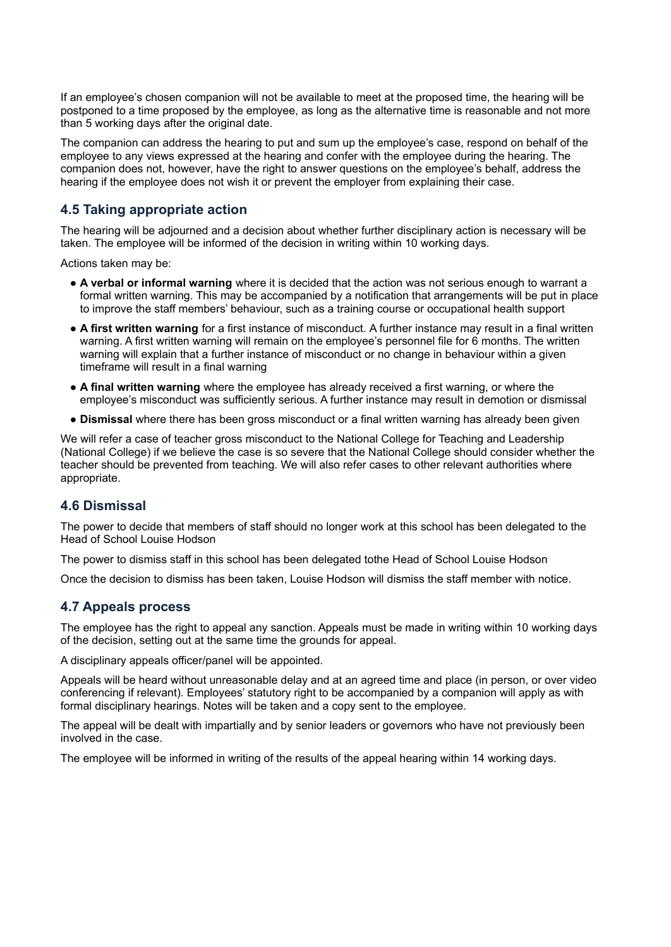If an employee's chosen companion will not be available to meet at the proposed time, the hearing will be postponed to a time proposed by the employee, as long as the alternative time is reasonable and not more than 5 working days after the original date.

The companion can address the hearing to put and sum up the employee's case, respond on behalf of the employee to any views expressed at the hearing and confer with the employee during the hearing. The companion does not, however, have the right to answer questions on the employee's behalf, address the hearing if the employee does not wish it or prevent the employer from explaining their case.

#### **4.5 Taking appropriate action**

The hearing will be adjourned and a decision about whether further disciplinary action is necessary will be taken. The employee will be informed of the decision in writing within 10 working days.

Actions taken may be:

- **A verbal or informal warning** where it is decided that the action was not serious enough to warrant a formal written warning. This may be accompanied by a notification that arrangements will be put in place to improve the staff members' behaviour, such as a training course or occupational health support
- **A first written warning** for a first instance of misconduct. A further instance may result in a final written warning. A first written warning will remain on the employee's personnel file for 6 months. The written warning will explain that a further instance of misconduct or no change in behaviour within a given timeframe will result in a final warning
- **A final written warning** where the employee has already received a first warning, or where the employee's misconduct was sufficiently serious. A further instance may result in demotion or dismissal
- **Dismissal** where there has been gross misconduct or a final written warning has already been given

We will refer a case of teacher gross misconduct to the National College for Teaching and Leadership (National College) if we believe the case is so severe that the National College should consider whether the teacher should be prevented from teaching. We will also refer cases to other relevant authorities where appropriate.

#### **4.6 Dismissal**

The power to decide that members of staff should no longer work at this school has been delegated to the Head of School Louise Hodson

The power to dismiss staff in this school has been delegated tothe Head of School Louise Hodson

Once the decision to dismiss has been taken, Louise Hodson will dismiss the staff member with notice.

#### **4.7 Appeals process**

The employee has the right to appeal any sanction. Appeals must be made in writing within 10 working days of the decision, setting out at the same time the grounds for appeal.

A disciplinary appeals officer/panel will be appointed.

Appeals will be heard without unreasonable delay and at an agreed time and place (in person, or over video conferencing if relevant). Employees' statutory right to be accompanied by a companion will apply as with formal disciplinary hearings. Notes will be taken and a copy sent to the employee.

The appeal will be dealt with impartially and by senior leaders or governors who have not previously been involved in the case.

The employee will be informed in writing of the results of the appeal hearing within 14 working days.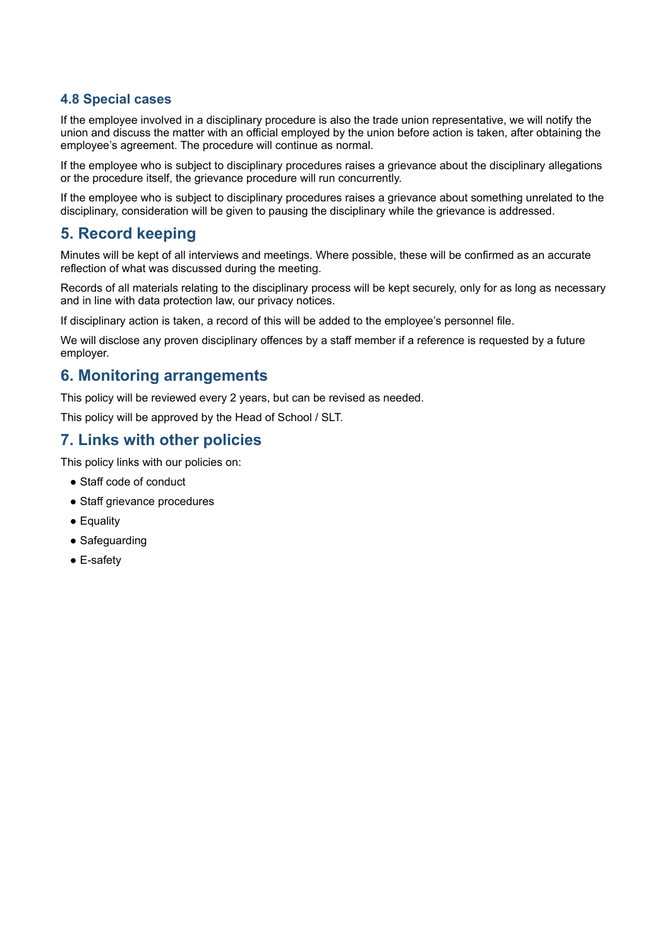## **4.8 Special cases**

If the employee involved in a disciplinary procedure is also the trade union representative, we will notify the union and discuss the matter with an official employed by the union before action is taken, after obtaining the employee's agreement. The procedure will continue as normal.

If the employee who is subject to disciplinary procedures raises a grievance about the disciplinary allegations or the procedure itself, the grievance procedure will run concurrently.

If the employee who is subject to disciplinary procedures raises a grievance about something unrelated to the disciplinary, consideration will be given to pausing the disciplinary while the grievance is addressed.

## **5. Record keeping**

Minutes will be kept of all interviews and meetings. Where possible, these will be confirmed as an accurate reflection of what was discussed during the meeting.

Records of all materials relating to the disciplinary process will be kept securely, only for as long as necessary and in line with data protection law, our privacy notices.

If disciplinary action is taken, a record of this will be added to the employee's personnel file.

We will disclose any proven disciplinary offences by a staff member if a reference is requested by a future employer.

## **6. Monitoring arrangements**

This policy will be reviewed every 2 years, but can be revised as needed.

This policy will be approved by the Head of School / SLT.

## **7. Links with other policies**

This policy links with our policies on:

- Staff code of conduct
- Staff grievance procedures
- Equality
- Safeguarding
- E-safetv